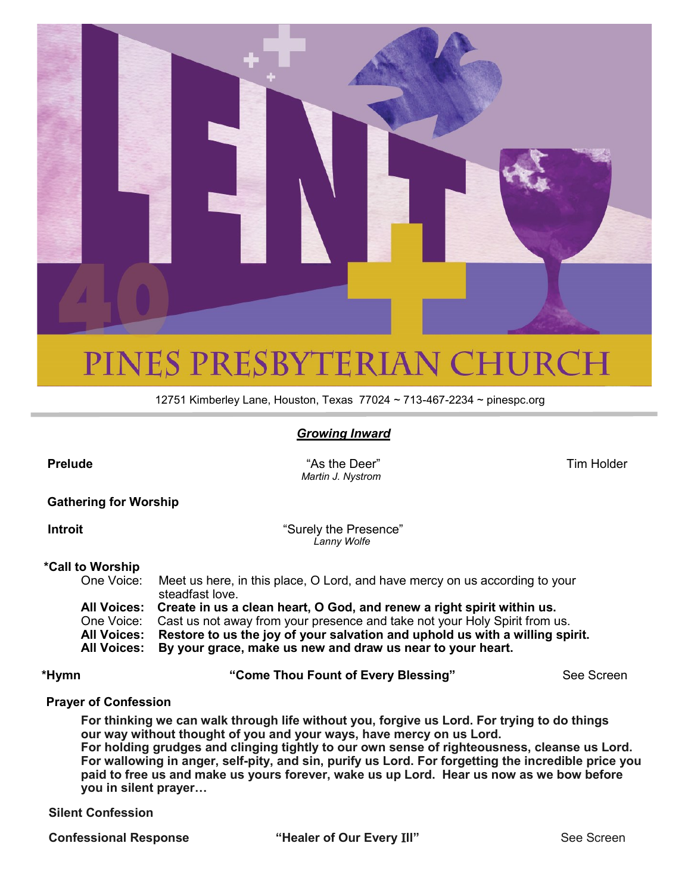

# PINES PRESBYTERIAN CHURCH

12751 Kimberley Lane, Houston, Texas 77024 ~ 713-467-2234 ~ pinespc.org

### *Growing Inward*

**Prelude** Tim Holder **Contract As Contract As the Deer"** Tim Holder Tim Holder  *Martin J. Nystrom*

#### **Gathering for Worship**

**Introit CONSUMER 19 THE PRESENCE THE SURFER 1999 SURFER 2012 1999 SURFER 2013 1999 SURFER 2014 1999 SURFER 2014** *Lanny Wolfe*

#### **\*Call to Worship**

One Voice: Meet us here, in this place, O Lord, and have mercy on us according to your steadfast love. **All Voices: Create in us a clean heart, O God, and renew a right spirit within us.** One Voice: Cast us not away from your presence and take not your Holy Spirit from us. **All Voices: Restore to us the joy of your salvation and uphold us with a willing spirit.** 

**All Voices: By your grace, make us new and draw us near to your heart.** 

**\*Hymn "Come Thou Fount of Every Blessing"** See Screen

#### **Prayer of Confession**

**For thinking we can walk through life without you, forgive us Lord. For trying to do things our way without thought of you and your ways, have mercy on us Lord. For holding grudges and clinging tightly to our own sense of righteousness, cleanse us Lord. For wallowing in anger, self-pity, and sin, purify us Lord. For forgetting the incredible price you paid to free us and make us yours forever, wake us up Lord. Hear us now as we bow before you in silent prayer…**

#### **Silent Confession**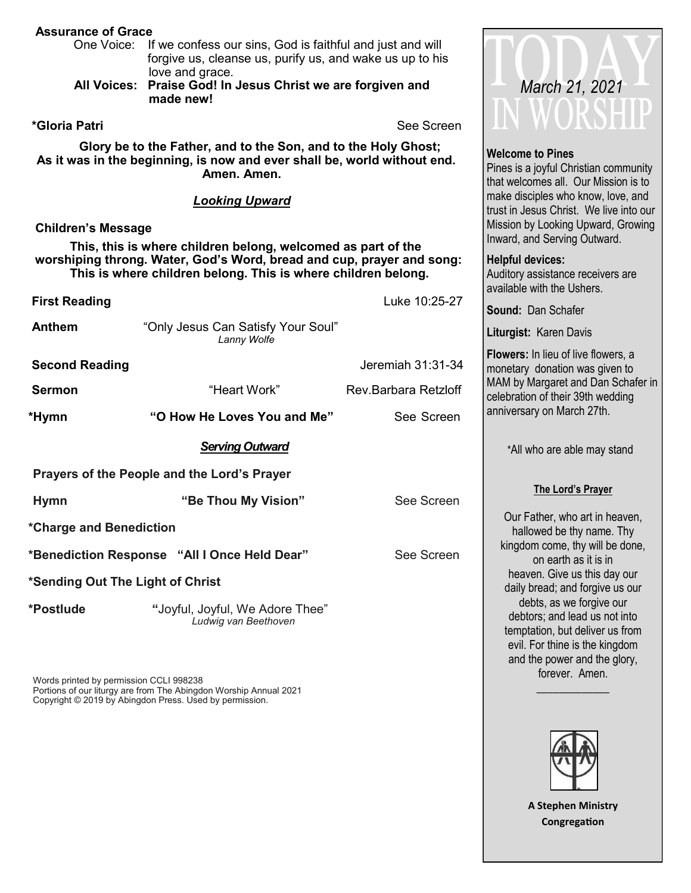| <b>Assurance of Grace</b>                                                                                                                  |                                                                                                                                                                                                                                 |                      |                                                                                                                                                                                |  |
|--------------------------------------------------------------------------------------------------------------------------------------------|---------------------------------------------------------------------------------------------------------------------------------------------------------------------------------------------------------------------------------|----------------------|--------------------------------------------------------------------------------------------------------------------------------------------------------------------------------|--|
| One Voice:                                                                                                                                 | If we confess our sins, God is faithful and just and will<br>forgive us, cleanse us, purify us, and wake us up to his<br>love and grace.                                                                                        |                      |                                                                                                                                                                                |  |
| <b>All Voices:</b>                                                                                                                         | Praise God! In Jesus Christ we are forgiven and<br>made new!                                                                                                                                                                    |                      | March 21, 2021                                                                                                                                                                 |  |
| *Gloria Patri                                                                                                                              |                                                                                                                                                                                                                                 | See Screen           | WUKDHIL                                                                                                                                                                        |  |
| Glory be to the Father, and to the Son, and to the Holy Ghost;<br>As it was in the beginning, is now and ever shall be, world without end. | <b>Welcome to Pines</b><br>Pines is a joyful Christian community<br>that welcomes all. Our Mission is to<br>make disciples who know, love, and<br>trust in Jesus Christ. We live into our<br>Mission by Looking Upward, Growing |                      |                                                                                                                                                                                |  |
| <b>Children's Message</b>                                                                                                                  |                                                                                                                                                                                                                                 |                      |                                                                                                                                                                                |  |
|                                                                                                                                            | This, this is where children belong, welcomed as part of the                                                                                                                                                                    |                      | Inward, and Serving Outward.                                                                                                                                                   |  |
| worshiping throng. Water, God's Word, bread and cup, prayer and song:<br>This is where children belong. This is where children belong.     | <b>Helpful devices:</b><br>Auditory assistance receivers are<br>available with the Ushers.                                                                                                                                      |                      |                                                                                                                                                                                |  |
| <b>First Reading</b>                                                                                                                       |                                                                                                                                                                                                                                 | Luke 10:25-27        | Sound: Dan Schafer                                                                                                                                                             |  |
| <b>Anthem</b>                                                                                                                              | "Only Jesus Can Satisfy Your Soul"<br>Lanny Wolfe                                                                                                                                                                               |                      | Liturgist: Karen Davis                                                                                                                                                         |  |
| <b>Second Reading</b>                                                                                                                      |                                                                                                                                                                                                                                 | Jeremiah 31:31-34    | Flowers: In lieu of live flowers, a<br>monetary donation was given to<br>MAM by Margaret and Dan Schafer in<br>celebration of their 39th wedding<br>anniversary on March 27th. |  |
| <b>Sermon</b>                                                                                                                              | "Heart Work"                                                                                                                                                                                                                    | Rev.Barbara Retzloff |                                                                                                                                                                                |  |
| *Hymn                                                                                                                                      | "O How He Loves You and Me"                                                                                                                                                                                                     | See Screen           |                                                                                                                                                                                |  |
|                                                                                                                                            | <b>Serving Outward</b>                                                                                                                                                                                                          |                      | *All who are able may stand                                                                                                                                                    |  |
|                                                                                                                                            | Prayers of the People and the Lord's Prayer                                                                                                                                                                                     |                      |                                                                                                                                                                                |  |
| <b>Hymn</b>                                                                                                                                | "Be Thou My Vision"                                                                                                                                                                                                             | See Screen           | The Lord's Prayer                                                                                                                                                              |  |
| *Charge and Benediction                                                                                                                    | Our Father, who art in heaven,<br>hallowed be thy name. Thy                                                                                                                                                                     |                      |                                                                                                                                                                                |  |
| *Benediction Response "All I Once Held Dear"<br>See Screen                                                                                 |                                                                                                                                                                                                                                 |                      | kingdom come, thy will be done,<br>on earth as it is in                                                                                                                        |  |
| *Sending Out The Light of Christ                                                                                                           | heaven. Give us this day our<br>daily bread; and forgive us our                                                                                                                                                                 |                      |                                                                                                                                                                                |  |
| *Postlude                                                                                                                                  | "Joyful, Joyful, We Adore Thee"<br>Ludwig van Beethoven                                                                                                                                                                         |                      | debts, as we forgive our<br>debtors; and lead us not into<br>temptation, but deliver us from<br>evil. For thine is the kingdom<br>and the power and the glory,                 |  |

Words printed by permission CCLI 998238 Portions of our liturgy are from The Abingdon Worship Annual 2021 Copyright © 2019 by Abingdon Press. Used by permission.

forever. Amen. \_\_\_\_\_\_\_\_\_\_\_\_\_

**A Stephen Ministry Congregation**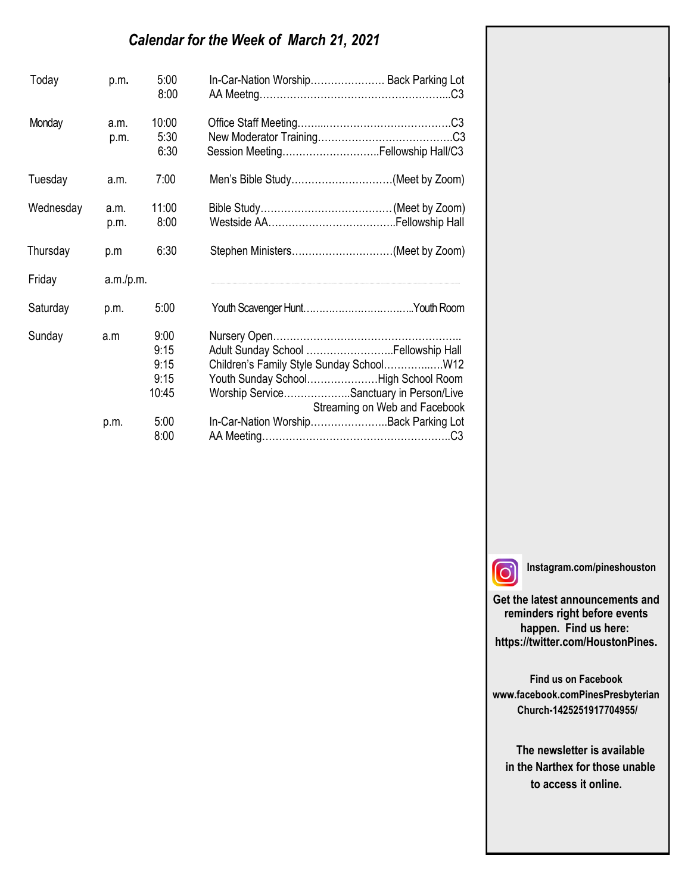# *Calendar for the Week of March 21, 2021*

| Today     | p.m.         | 5:00<br>8:00                          | In-Car-Nation Worship Back Parking Lot                                                                                                                                                              |
|-----------|--------------|---------------------------------------|-----------------------------------------------------------------------------------------------------------------------------------------------------------------------------------------------------|
| Monday    | a.m.<br>p.m. | 10:00<br>5:30<br>6:30                 | Session MeetingFellowship Hall/C3                                                                                                                                                                   |
| Tuesday   | a.m.         | 7:00                                  | Men's Bible Study(Meet by Zoom)                                                                                                                                                                     |
| Wednesday | a.m.<br>p.m. | 11:00<br>8:00                         |                                                                                                                                                                                                     |
| Thursday  | p.m          | 6:30                                  |                                                                                                                                                                                                     |
| Friday    | a.m./p.m.    |                                       |                                                                                                                                                                                                     |
| Saturday  | p.m.         | 5:00                                  |                                                                                                                                                                                                     |
| Sunday    | a.m          | 9:00<br>9:15<br>9:15<br>9:15<br>10:45 | Adult Sunday School  Fellowship Hall<br>Children's Family Style Sunday SchoolW12<br>Youth Sunday SchoolHigh School Room<br>Worship ServiceSanctuary in Person/Live<br>Streaming on Web and Facebook |
|           | p.m.         | 5:00<br>8:00                          | In-Car-Nation WorshipBack Parking Lot                                                                                                                                                               |

 $\overline{\phantom{a}}$  $\overline{\phantom{a}}$ 

**Instagram.com/pineshouston**

**Get the latest announcements and reminders right before events happen. Find us here: https://twitter.com/HoustonPines.** 

Gloria Anderson Morriss Partee Norma Bender Georgette Person Jean Breitenwischer Nancy Robinson Barbara Caffall Virginia Smith

**Find us on Facebook www.facebook.comPinesPresbyterian Church-1425251917704955/**

 **The newsletter is available in the Narthex for those unable to access it online.**